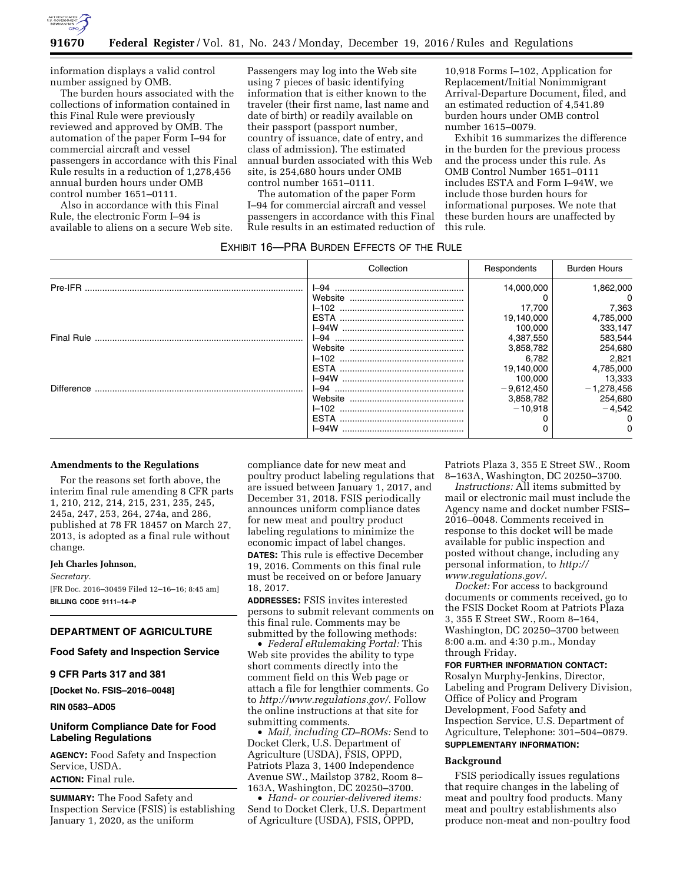

information displays a valid control number assigned by OMB.

The burden hours associated with the collections of information contained in this Final Rule were previously reviewed and approved by OMB. The automation of the paper Form I–94 for commercial aircraft and vessel passengers in accordance with this Final Rule results in a reduction of 1,278,456 annual burden hours under OMB control number 1651–0111.

Also in accordance with this Final Rule, the electronic Form I–94 is available to aliens on a secure Web site. Passengers may log into the Web site using 7 pieces of basic identifying information that is either known to the traveler (their first name, last name and date of birth) or readily available on their passport (passport number, country of issuance, date of entry, and class of admission). The estimated annual burden associated with this Web site, is 254,680 hours under OMB control number 1651–0111.

The automation of the paper Form I–94 for commercial aircraft and vessel passengers in accordance with this Final Rule results in an estimated reduction of

| EXHIBIT 16-PRA BURDEN EFFECTS OF THE RULE |            |              |                     |
|-------------------------------------------|------------|--------------|---------------------|
|                                           | Collection | Respondents  | <b>Burden Hours</b> |
| Pre-IFR                                   |            | 14,000,000   | 1,862,000           |
|                                           |            |              | $\Omega$            |
|                                           |            | 17.700       | 7,363               |
|                                           |            | 19,140,000   | 4,785,000           |
|                                           |            | 100.000      | 333,147             |
|                                           | I-94       | 4,387,550    | 583,544             |
|                                           |            | 3,858,782    | 254,680             |
|                                           |            | 6,782        | 2,821               |
|                                           |            | 19,140,000   | 4,785,000           |
|                                           |            | 100.000      | 13,333              |
| Difference                                |            | $-9,612,450$ | $-1,278,456$        |
|                                           |            | 3,858,782    | 254,680             |
|                                           |            | $-10.918$    | $-4.542$            |
|                                           |            |              |                     |
|                                           | I–94W      |              | 0                   |

### **Amendments to the Regulations**

For the reasons set forth above, the interim final rule amending 8 CFR parts 1, 210, 212, 214, 215, 231, 235, 245, 245a, 247, 253, 264, 274a, and 286, published at 78 FR 18457 on March 27, 2013, is adopted as a final rule without change.

#### **Jeh Charles Johnson,**

*Secretary.* 

[FR Doc. 2016–30459 Filed 12–16–16; 8:45 am] **BILLING CODE 9111–14–P** 

# **DEPARTMENT OF AGRICULTURE**

**Food Safety and Inspection Service** 

# **9 CFR Parts 317 and 381**

**[Docket No. FSIS–2016–0048]** 

**RIN 0583–AD05** 

# **Uniform Compliance Date for Food Labeling Regulations**

**AGENCY:** Food Safety and Inspection Service, USDA. **ACTION:** Final rule.

**SUMMARY:** The Food Safety and Inspection Service (FSIS) is establishing January 1, 2020, as the uniform

compliance date for new meat and poultry product labeling regulations that are issued between January 1, 2017, and December 31, 2018. FSIS periodically announces uniform compliance dates for new meat and poultry product labeling regulations to minimize the economic impact of label changes. **DATES:** This rule is effective December 19, 2016. Comments on this final rule must be received on or before January

18, 2017. **ADDRESSES:** FSIS invites interested persons to submit relevant comments on

this final rule. Comments may be submitted by the following methods:

• *Federal eRulemaking Portal:* This Web site provides the ability to type short comments directly into the comment field on this Web page or attach a file for lengthier comments. Go to *<http://www.regulations.gov/>*. Follow the online instructions at that site for submitting comments.

• *Mail, including CD–ROMs:* Send to Docket Clerk, U.S. Department of Agriculture (USDA), FSIS, OPPD, Patriots Plaza 3, 1400 Independence Avenue SW., Mailstop 3782, Room 8– 163A, Washington, DC 20250–3700.

• *Hand- or courier-delivered items:*  Send to Docket Clerk, U.S. Department of Agriculture (USDA), FSIS, OPPD,

Patriots Plaza 3, 355 E Street SW., Room 8–163A, Washington, DC 20250–3700.

*Instructions:* All items submitted by mail or electronic mail must include the Agency name and docket number FSIS– 2016–0048. Comments received in response to this docket will be made available for public inspection and posted without change, including any personal information, to *[http://](http://www.regulations.gov/) [www.regulations.gov/](http://www.regulations.gov/)*.

*Docket:* For access to background documents or comments received, go to the FSIS Docket Room at Patriots Plaza 3, 355 E Street SW., Room 8–164, Washington, DC 20250–3700 between 8:00 a.m. and 4:30 p.m., Monday through Friday.

#### **FOR FURTHER INFORMATION CONTACT:**

Rosalyn Murphy-Jenkins, Director, Labeling and Program Delivery Division, Office of Policy and Program Development, Food Safety and Inspection Service, U.S. Department of Agriculture, Telephone: 301–504–0879. **SUPPLEMENTARY INFORMATION:** 

#### **Background**

FSIS periodically issues regulations that require changes in the labeling of meat and poultry food products. Many meat and poultry establishments also produce non-meat and non-poultry food

10,918 Forms I–102, Application for Replacement/Initial Nonimmigrant Arrival-Departure Document, filed, and an estimated reduction of 4,541.89 burden hours under OMB control number 1615–0079.

Exhibit 16 summarizes the difference in the burden for the previous process and the process under this rule. As OMB Control Number 1651–0111 includes ESTA and Form I–94W, we include those burden hours for informational purposes. We note that these burden hours are unaffected by this rule.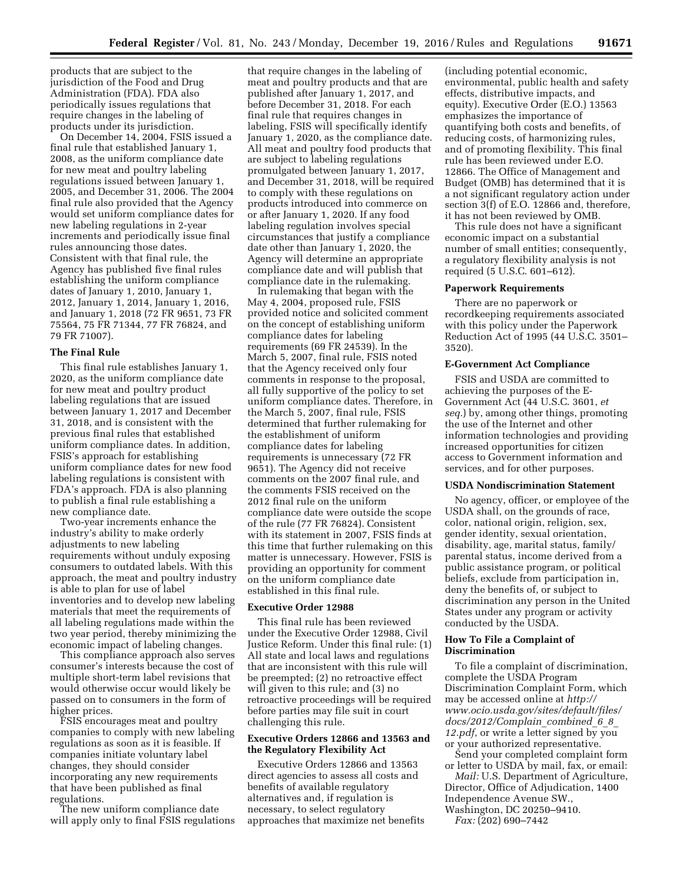products that are subject to the jurisdiction of the Food and Drug Administration (FDA). FDA also periodically issues regulations that require changes in the labeling of products under its jurisdiction.

On December 14, 2004, FSIS issued a final rule that established January 1, 2008, as the uniform compliance date for new meat and poultry labeling regulations issued between January 1, 2005, and December 31, 2006. The 2004 final rule also provided that the Agency would set uniform compliance dates for new labeling regulations in 2-year increments and periodically issue final rules announcing those dates. Consistent with that final rule, the Agency has published five final rules establishing the uniform compliance dates of January 1, 2010, January 1, 2012, January 1, 2014, January 1, 2016, and January 1, 2018 (72 FR 9651, 73 FR 75564, 75 FR 71344, 77 FR 76824, and 79 FR 71007).

#### **The Final Rule**

This final rule establishes January 1, 2020, as the uniform compliance date for new meat and poultry product labeling regulations that are issued between January 1, 2017 and December 31, 2018, and is consistent with the previous final rules that established uniform compliance dates. In addition, FSIS's approach for establishing uniform compliance dates for new food labeling regulations is consistent with FDA's approach. FDA is also planning to publish a final rule establishing a new compliance date.

Two-year increments enhance the industry's ability to make orderly adjustments to new labeling requirements without unduly exposing consumers to outdated labels. With this approach, the meat and poultry industry is able to plan for use of label inventories and to develop new labeling materials that meet the requirements of all labeling regulations made within the two year period, thereby minimizing the economic impact of labeling changes.

This compliance approach also serves consumer's interests because the cost of multiple short-term label revisions that would otherwise occur would likely be passed on to consumers in the form of higher prices.

FSIS encourages meat and poultry companies to comply with new labeling regulations as soon as it is feasible. If companies initiate voluntary label changes, they should consider incorporating any new requirements that have been published as final regulations.

The new uniform compliance date will apply only to final FSIS regulations

that require changes in the labeling of meat and poultry products and that are published after January 1, 2017, and before December 31, 2018. For each final rule that requires changes in labeling, FSIS will specifically identify January 1, 2020, as the compliance date. All meat and poultry food products that are subject to labeling regulations promulgated between January 1, 2017, and December 31, 2018, will be required to comply with these regulations on products introduced into commerce on or after January 1, 2020. If any food labeling regulation involves special circumstances that justify a compliance date other than January 1, 2020, the Agency will determine an appropriate compliance date and will publish that compliance date in the rulemaking.

In rulemaking that began with the May 4, 2004, proposed rule, FSIS provided notice and solicited comment on the concept of establishing uniform compliance dates for labeling requirements (69 FR 24539). In the March 5, 2007, final rule, FSIS noted that the Agency received only four comments in response to the proposal, all fully supportive of the policy to set uniform compliance dates. Therefore, in the March 5, 2007, final rule, FSIS determined that further rulemaking for the establishment of uniform compliance dates for labeling requirements is unnecessary (72 FR 9651). The Agency did not receive comments on the 2007 final rule, and the comments FSIS received on the 2012 final rule on the uniform compliance date were outside the scope of the rule (77 FR 76824). Consistent with its statement in 2007, FSIS finds at this time that further rulemaking on this matter is unnecessary. However, FSIS is providing an opportunity for comment on the uniform compliance date established in this final rule.

# **Executive Order 12988**

This final rule has been reviewed under the Executive Order 12988, Civil Justice Reform. Under this final rule: (1) All state and local laws and regulations that are inconsistent with this rule will be preempted; (2) no retroactive effect will given to this rule; and (3) no retroactive proceedings will be required before parties may file suit in court challenging this rule.

# **Executive Orders 12866 and 13563 and the Regulatory Flexibility Act**

Executive Orders 12866 and 13563 direct agencies to assess all costs and benefits of available regulatory alternatives and, if regulation is necessary, to select regulatory approaches that maximize net benefits

(including potential economic, environmental, public health and safety effects, distributive impacts, and equity). Executive Order (E.O.) 13563 emphasizes the importance of quantifying both costs and benefits, of reducing costs, of harmonizing rules, and of promoting flexibility. This final rule has been reviewed under E.O. 12866. The Office of Management and Budget (OMB) has determined that it is a not significant regulatory action under section 3(f) of E.O. 12866 and, therefore, it has not been reviewed by OMB.

This rule does not have a significant economic impact on a substantial number of small entities; consequently, a regulatory flexibility analysis is not required (5 U.S.C. 601–612).

### **Paperwork Requirements**

There are no paperwork or recordkeeping requirements associated with this policy under the Paperwork Reduction Act of 1995 (44 U.S.C. 3501– 3520).

# **E-Government Act Compliance**

FSIS and USDA are committed to achieving the purposes of the E-Government Act (44 U.S.C. 3601, *et seq.*) by, among other things, promoting the use of the Internet and other information technologies and providing increased opportunities for citizen access to Government information and services, and for other purposes.

#### **USDA Nondiscrimination Statement**

No agency, officer, or employee of the USDA shall, on the grounds of race, color, national origin, religion, sex, gender identity, sexual orientation, disability, age, marital status, family/ parental status, income derived from a public assistance program, or political beliefs, exclude from participation in, deny the benefits of, or subject to discrimination any person in the United States under any program or activity conducted by the USDA.

# **How To File a Complaint of Discrimination**

To file a complaint of discrimination, complete the USDA Program Discrimination Complaint Form, which may be accessed online at *[http://](http://www.ocio.usda.gov/sites/default/files/docs/2012/Complain_combined_6_8_12.pdf) [www.ocio.usda.gov/sites/default/files/](http://www.ocio.usda.gov/sites/default/files/docs/2012/Complain_combined_6_8_12.pdf) [docs/2012/Complain](http://www.ocio.usda.gov/sites/default/files/docs/2012/Complain_combined_6_8_12.pdf)*\_*combined*\_*6*\_*8*\_ *[12.pdf](http://www.ocio.usda.gov/sites/default/files/docs/2012/Complain_combined_6_8_12.pdf)*, or write a letter signed by you or your authorized representative.

Send your completed complaint form or letter to USDA by mail, fax, or email:

*Mail:* U.S. Department of Agriculture, Director, Office of Adjudication, 1400 Independence Avenue SW., Washington, DC 20250–9410.

*Fax:* (202) 690–7442